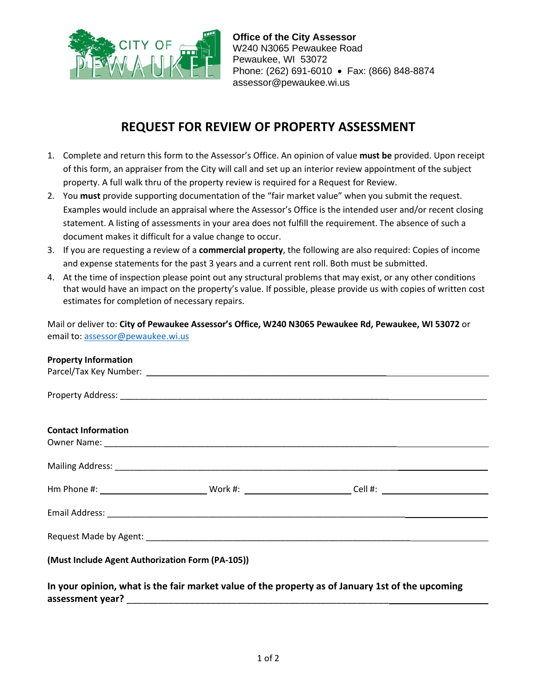

**Office of the City Assessor** W240 N3065 Pewaukee Road Pewaukee, WI 53072 Phone: (262) 691-6010 • Fax: (866) 848-8874 assessor@pewaukee.wi.us

## **REQUEST FOR REVIEW OF PROPERTY ASSESSMENT**

- 1. Complete and return this form to the Assessor's Office. An opinion of value **must be** provided. Upon receipt of this form, an appraiser from the City will call and set up an interior review appointment of the subject property. A full walk thru of the property review is required for a Request for Review.
- 2. You **must** provide supporting documentation of the "fair market value" when you submit the request. Examples would include an appraisal where the Assessor's Office is the intended user and/or recent closing statement. A listing of assessments in your area does not fulfill the requirement. The absence of such a document makes it difficult for a value change to occur.
- 3. If you are requesting a review of a **commercial property**, the following are also required: Copies of income and expense statements for the past 3 years and a current rent roll. Both must be submitted.
- 4. At the time of inspection please point out any structural problems that may exist, or any other conditions that would have an impact on the property's value. If possible, please provide us with copies of written cost estimates for completion of necessary repairs.

Mail or deliver to: **City of Pewaukee Assessor's Office, W240 N3065 Pewaukee Rd, Pewaukee, WI 53072** or email to: [assessor@pewaukee.wi.us](mailto:assessor@pewaukee.wi.us) 

| <b>Property Information</b>                      |                                                                                                  |  |
|--------------------------------------------------|--------------------------------------------------------------------------------------------------|--|
|                                                  |                                                                                                  |  |
|                                                  |                                                                                                  |  |
|                                                  |                                                                                                  |  |
|                                                  |                                                                                                  |  |
| <b>Contact Information</b>                       |                                                                                                  |  |
|                                                  |                                                                                                  |  |
|                                                  |                                                                                                  |  |
|                                                  |                                                                                                  |  |
|                                                  |                                                                                                  |  |
|                                                  |                                                                                                  |  |
|                                                  |                                                                                                  |  |
|                                                  |                                                                                                  |  |
|                                                  |                                                                                                  |  |
|                                                  |                                                                                                  |  |
|                                                  |                                                                                                  |  |
| (Must Include Agent Authorization Form (PA-105)) |                                                                                                  |  |
|                                                  |                                                                                                  |  |
|                                                  | In your opinion, what is the fair market value of the property as of January 1st of the upcoming |  |

**assessment year?** \_\_\_\_\_\_\_\_\_\_\_\_\_\_\_\_\_\_\_\_\_\_\_\_\_\_\_\_\_\_\_\_\_\_\_\_\_\_\_\_\_\_\_\_\_\_\_\_\_\_